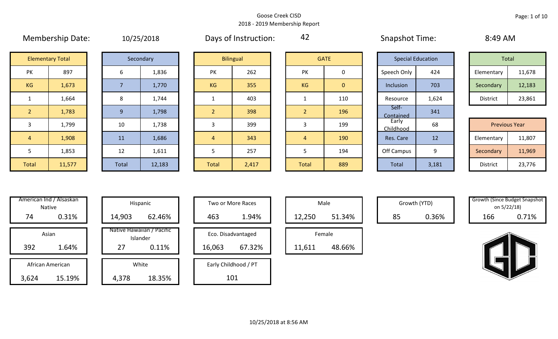|                | <b>IVICITINGIJIIIN DULCI</b> |       | 10/20/2010 |                | <b>Duys Of Histiaction.</b> | $-$            |                | JUUPJUUL TUULI           |       |                      |        |
|----------------|------------------------------|-------|------------|----------------|-----------------------------|----------------|----------------|--------------------------|-------|----------------------|--------|
|                | <b>Elementary Total</b>      |       | Secondary  |                | <b>Bilingual</b>            |                | <b>GATE</b>    | <b>Special Education</b> |       | Total                |        |
| PK             | 897                          | 6     | 1,836      | PK             | 262                         | PK             | 0              | Speech Only              | 424   | Elementary           | 11,678 |
| KG             | 1,673                        |       | 1,770      | <b>KG</b>      | 355                         | <b>KG</b>      | $\overline{0}$ | Inclusion                | 703   | Secondary            | 12,183 |
|                | 1,664                        | 8     | 1,744      |                | 403                         |                | 110            | Resource                 | 1,624 | District             | 23,861 |
| 2 <sup>2</sup> | 1,783                        | 9     | 1,798      | $\overline{2}$ | 398                         | 2 <sup>1</sup> | 196            | Self-<br>Contained       | 341   |                      |        |
| 3              | 1,799                        | 10    | 1,738      | 3              | 399                         | 3              | 199            | Early<br>Childhood       | 68    | <b>Previous Year</b> |        |
| $\overline{4}$ | 1,908                        | 11    | 1,686      | $\overline{4}$ | 343                         | $\overline{4}$ | 190            | Res. Care                | 12    | Elementary           | 11,807 |
| 5              | 1,853                        | 12    | 1,611      | 5              | 257                         | 5.             | 194            | Off Campus               | 9     | Secondary            | 11,969 |
| Total          | 11,577                       | Total | 12,183     | <b>Total</b>   | 2,417                       | Total          | 889            | Total                    | 3,181 | District             | 23,776 |

|  | 10/25/2018 |  |
|--|------------|--|
|  |            |  |

Membership Date:  $10/25/2018$  Days of Instruction:  $42$  Snapshot Time: 8:49 AM

42

|                     | <b>Elementary Total</b> |  | Secondary |           | <b>Bilingual</b> |           | <b>GATE</b> |             | <b>Special Education</b> | Total      |        |
|---------------------|-------------------------|--|-----------|-----------|------------------|-----------|-------------|-------------|--------------------------|------------|--------|
| NZ.<br>$\mathbf{v}$ | 897                     |  | 1,836     | PK        | 262              | PK        |             | Speech Only | 424                      | Elementary | 11,678 |
| G                   | 1,673                   |  | 1,770     | <b>KG</b> | 355              | <b>KG</b> | 0           | Inclusion   | 703                      | Secondary  | 12,183 |
|                     | 1,664                   |  | 1,744     |           | 403              |           | 110         | Resource    | 1,624                    | District   | 23,861 |

|             | 1,799  | 10    | 1,738  |              | 399   |              | 199 | Early<br><b>Childhood</b> | 68    | <b>Previous Year</b> |        |
|-------------|--------|-------|--------|--------------|-------|--------------|-----|---------------------------|-------|----------------------|--------|
|             | 1,908  | 11    | 1,686  |              | 343   |              | 190 | Res. Care                 | 12    | Elementary           | 11,807 |
|             | 1,853  | 12    | 1,611  |              | 257   |              | 194 | Off Campus                |       | Secondary            | 11,969 |
| <b>otal</b> | 11,577 | Total | 12,183 | <b>Total</b> | 2,417 | <b>Total</b> | 889 | Total                     | 3,181 | District             | 23,776 |

| Hispani                   | American Ind / Alsaskan<br><b>Native</b> |       |
|---------------------------|------------------------------------------|-------|
| 14,903                    | 0.31%                                    | 74    |
| Native Hawaiia<br>Islande | Asian                                    |       |
| 27                        | 1.64%                                    | 392   |
| White                     | African American                         |       |
| 4,378                     | 15.19%                                   | 3,624 |

|      | merican Ind / Alsaskan<br>Native |        | Hispanic                              |        | Two or More Races    |        | Male   |    | Growth (YTD) | <b>Growth (Since Budget Snapsl</b> | on 5/22/18) |
|------|----------------------------------|--------|---------------------------------------|--------|----------------------|--------|--------|----|--------------|------------------------------------|-------------|
| 74   | 0.31%                            | 14,903 | 62.46%                                | 463    | 1.94%                | 12,250 | 51.34% | 85 | 0.36%        | 166                                | 0.71%       |
|      | Asian                            |        | Native Hawaiian / Pacific<br>Islander |        | Eco. Disadvantaged   |        | Female |    |              |                                    |             |
| 392  | 1.64%                            | 27     | 0.11%                                 | 16,063 | 67.32%               | 11,611 | 48.66% |    |              |                                    |             |
|      | African American                 |        | White                                 |        | Early Childhood / PT |        |        |    |              |                                    |             |
| ,624 | 15.19%                           | 4,378  | 18.35%                                |        | 101                  |        |        |    |              |                                    |             |

| Hispanic                       |        | Two or More Races    |        | Male   |
|--------------------------------|--------|----------------------|--------|--------|
| 62.46%                         | 463    | 1.94%                | 12,250 |        |
| lawaiian / Pacific<br>Islander |        | Eco. Disadvantaged   |        | Female |
| 0.11%                          | 16,063 | 67.32%               | 11,611 |        |
| White                          |        | Early Childhood / PT |        |        |
| 18.35%                         |        | 101                  |        |        |

|        | Male   |  |
|--------|--------|--|
| 12,250 | 51.34% |  |
|        | Female |  |
| 611    |        |  |

Growth (YTD) Growth (Since Budget Snapshot on 5/22/18)

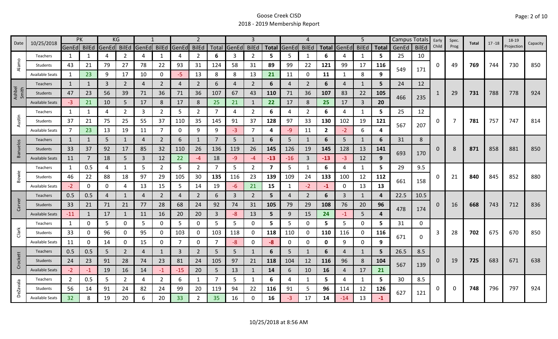| 10/25/2018<br>Date |                        | PK             |     | KG             |                |             |                | $\overline{2}$ |                |                | 3     |                |                | 4     |                |              | 5                   |                | <b>Campus Totals</b> |       | Early        | Spec. |                |       | 18-19     |            |          |
|--------------------|------------------------|----------------|-----|----------------|----------------|-------------|----------------|----------------|----------------|----------------|-------|----------------|----------------|-------|----------------|--------------|---------------------|----------------|----------------------|-------|--------------|-------|----------------|-------|-----------|------------|----------|
|                    |                        | GenEd BilEd    |     | GenEd BilEd    |                | GenEd BilEd |                | GenEd          | <b>BilEd</b>   | Total          | GenEd | <b>BilEd</b>   | <b>Total</b>   | GenEd | <b>BilEd</b>   |              | <b>Total GenEdl</b> | <b>BilEd</b>   | <b>Total</b>         | GenEd | <b>BilEd</b> | Child | Prog           | Total | $17 - 18$ | Projection | Capacity |
|                    | Teachers               | 1              |     | 4              | 2              | 4           | 1              | 4              | $\overline{2}$ | 6              | 3     | $\overline{2}$ | 5              | 5     | 1              | 6            | 4                   | 1              | 5                    | 25    | 10           |       |                |       |           |            |          |
| Alamo              | Students               | 43             | 21  | 79             | 27             | 78          | 22             | 93             | 31             | 124            | 58    | 31             | 89             | 99    | 22             | 121          | 99                  | 17             | 116                  | 549   | 171          | 0     | 49             | 769   | 744       | 730        | 850      |
|                    | <b>Available Seats</b> | 1              | 23  | 9              | 17             | 10          | $\mathbf{0}$   | -5             | 13             | 8              | 8     | 13             | 21             | 11    | 0              | 11           | 1                   | 8              | 9                    |       |              |       |                |       |           |            |          |
|                    | <b>Teachers</b>        | $\mathbf{1}$   |     | $\overline{3}$ | $\overline{2}$ | 4           | $\overline{2}$ | $\overline{4}$ | $\overline{2}$ | 6              | 4     | $2^{\circ}$    | 6              | 4     | $\overline{2}$ | 6            | 4                   | $\mathbf{1}$   | 5                    | 24    | 12           |       |                |       |           |            |          |
| Ashbel<br>Smith    | Students               | 47             | 23  | 56             | 39             | 71          | 36             | 71             | 36             | 107            | 67    | 43             | 110            | 71    | 36             | 107          | 83                  | 22             | 105                  |       |              |       | 29             | 731   | 788       | 778        | 924      |
|                    | <b>Available Seats</b> | $-3$           | 21  | 10             | 5              | 17          | 8              | 17             | 8              | 25             | 21    | $\mathbf{1}$   | 22             | 17    | 8              | 25           | 17                  | $\overline{3}$ | 20                   | 466   | 235          |       |                |       |           |            |          |
|                    | Teachers               | 1              | 1   | 4              | $\overline{2}$ | 3           | $\overline{2}$ | 5              | $\overline{2}$ | 7              | 4     | 2              | 6              | 4     | $\overline{2}$ | 6            | 4                   | 1              | 5                    | 25    | 12           |       |                |       |           |            |          |
| Austin             | Students               | 37             | 21  | 75             | 25             | 55          | 37             | 110            | 35             | 145            | 91    | 37             | 128            | 97    | 33             | 130          | 102                 | 19             | 121                  | 567   | 207          | 0     | $\overline{7}$ | 781   | 757       | 747        | 814      |
|                    | <b>Available Seats</b> | $\overline{7}$ | 23  | 13             | 19             | 11          | $\overline{7}$ | 0              | 9              | 9              | $-3$  | $\overline{7}$ | 4              | -9    | 11             | $\mathbf{2}$ | $-2$                | 6              | 4                    |       |              |       |                |       |           |            |          |
|                    | <b>Teachers</b>        | $\mathbf{1}$   | 1   | 5              | 1              | 4           | $\overline{2}$ | 6              | 1              | 7              | 5     | 1              | 6              | 5     | $\mathbf{1}$   | 6            | 5                   | 1              | 6                    | 31    | 8            |       |                |       |           |            |          |
| Banuelos           | Students               | 33             | 37  | 92             | 17             | 85          | 32             | 110            | 26             | 136            | 119   | 26             | 145            | 126   | 19             | 145          | 128                 | 13             | 141                  |       |              | 0     | 8              | 871   | 858       | 881        | 850      |
|                    | <b>Available Seats</b> | 11             |     | 18             | 5.             | 3           | 12             | 22             | $-4$           | 18             | -9    | -4             | $-13$          | $-16$ | 3              | $-13$        | $-3$                | 12             | 9                    | 693   | 170          |       |                |       |           |            |          |
|                    | Teachers               | $\mathbf{1}$   | 0.5 | 4              |                | 5           | $\overline{2}$ | 5              | $\overline{2}$ | 7              | 5     | $\overline{2}$ | $\overline{7}$ | 5     | $\mathbf{1}$   | 6            | 4                   | 1              | 5                    | 29    | 9.5          |       |                |       |           |            |          |
| Bowie              | Students               | 46             | 22  | 88             | 18             | 97          | 29             | 105            | 30             | 135            | 116   | 23             | 139            | 109   | 24             | 133          | 100                 | 12             | 112                  |       |              |       | 21             | 840   | 845       | 852        | 880      |
|                    | <b>Available Seats</b> | $-2$           | 0   | $\mathbf 0$    | 4              | 13          | 15             | 5              | 14             | 19             | -6    | 21             | 15             | 1     | $-2$           | $-1$         | 0                   | 13             | 13                   | 661   | 158          |       |                |       |           |            |          |
|                    | Teachers               | 0.5            | 0.5 | 4              | $\mathbf{1}$   | 4           | $\overline{2}$ | 4              | $\overline{2}$ | 6              | 3     | $\overline{2}$ | 5              | 4     | $\overline{2}$ | 6            | 3                   | $\mathbf{1}$   | 4                    | 22.5  | 10.5         |       |                |       |           |            |          |
| Carver             | Students               | 33             | 21  | 71             | 21             | 77          | 28             | 68             | 24             | 92             | 74    | 31             | 105            | 79    | 29             | 108          | 76                  | 20             | 96                   |       |              | 0     | 16             | 668   | 743       | 712        | 836      |
|                    | <b>Available Seats</b> | $-11$          |     | 17             | $\mathbf{1}$   | 11          | 16             | 20             | 20             | $\overline{3}$ | $-8$  | 13             | 5              | 9     | 15             | 24           | $-1$                | 5              | 4                    | 478   | 174          |       |                |       |           |            |          |
|                    | Teachers               | $\mathbf{1}$   | 0   | 5              | $\mathbf{0}$   | 5           | 0              | 5              | $\mathbf 0$    | 5              | 5     | 0              | 5              | 5     | 0              | 5            | 5                   | 0              | 5.                   | 31    | 0            |       |                |       |           |            |          |
| Clark              | Students               | 33             | 0   | 96             | 0              | 95          | 0              | 103            | 0              | 103            | 118   | 0              | 118            | 110   | 0              | 110          | 116                 | 0              | 116                  | 671   |              | 3     | 28             | 702   | 675       | 670        | 850      |
|                    | <b>Available Seats</b> | 11             | 0   | 14             | 0              | 15          | $\mathbf 0$    |                | $\mathbf 0$    | 7              | -8    | 0              | -8             | 0     | 0              | 0            | 9                   | 0              | 9                    |       | 0            |       |                |       |           |            |          |
|                    | Teachers               | 0.5            | 0.5 | 5              | $\overline{2}$ | 4           | $\mathbf{1}$   | $\overline{3}$ | $\overline{2}$ | 5              | 5     | $\mathbf{1}$   | 6              | 5     | $\mathbf{1}$   | 6            | 4                   | $\mathbf{1}$   | 5                    | 26.5  | 8.5          |       |                |       |           |            |          |
| Crockett           | Students               | 24             | 23  | 91             | 28             | 74          | 23             | 81             | 24             | 105            | 97    | 21             | 118            | 104   | 12             | 116          | 96                  | 8              | 104                  | 567   | 139          | 0     | 19             | 725   | 683       | 671        | 638      |
|                    | <b>Available Seats</b> | $-2$           | -1  | 19             | 16             | 14          | $-1$           | $-15$          | 20             | 5              | 13    | $\mathbf{1}$   | 14             | 6     | 10             | 16           | 4                   | 17             | 21                   |       |              |       |                |       |           |            |          |
|                    | Teachers               | $\overline{2}$ | 0.5 | 5              | $\overline{2}$ | 4           | $\overline{2}$ | 6              | 1              | 7              | 5     | 1              | 6              | 4     | 1              | 5            | 4                   | 1              | 5.                   | 30    | 8.5          |       |                |       |           |            |          |
| <b>DeZavala</b>    | Students               | 56             | 14  | 91             | 24             | 82          | 24             | 99             | 20             | 119            | 94    | 22             | 116            | 91    | 5              | 96           | 114                 | 12             | 126                  | 627   | 121          | Ω     | 0              | 748   | 796       | 797        | 924      |
|                    | <b>Available Seats</b> | 32             |     | 19             | 20             | 6           | 20             | 33             | $\overline{2}$ | 35             | 16    | 0              | 16             | -3    | 17             | 14           | $-14$               | 13             |                      |       |              |       |                |       |           |            |          |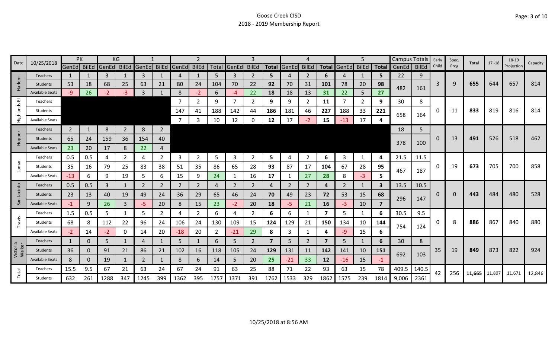| Date               | 10/25/2018             | PK             |     |       | KG             |                   |                |              | 2              |      |              | 3            |                         |       |                |              |       | 5              |              | <b>Campus Totals</b> |              | Early | Spec.    | Total         | $17 - 18$ | 18-19      | Capacity |
|--------------------|------------------------|----------------|-----|-------|----------------|-------------------|----------------|--------------|----------------|------|--------------|--------------|-------------------------|-------|----------------|--------------|-------|----------------|--------------|----------------------|--------------|-------|----------|---------------|-----------|------------|----------|
|                    |                        | GenEd BilEd    |     | GenEd |                | BilEd GenEd BilEd |                | <b>GenEd</b> | <b>BilEd</b>   |      | Total GenEd  | <b>BilEd</b> | <b>Total</b>            | GenEd | <b>BilEd</b>   | <b>Total</b> | GenEd | <b>BilEd</b>   | <b>Total</b> | GenEd                | <b>BilEd</b> | Child | Prog     |               |           | Projection |          |
|                    | <b>Teachers</b>        | $\mathbf{1}$   |     | 3     |                | 3                 |                | 4            |                | 5    | 3            | 2            | 5                       |       | $\overline{2}$ | 6            | 4     | 1              | 5            | 22                   | 9            |       |          |               |           |            |          |
| Harlem             | <b>Students</b>        | 53             | 18  | 68    | 25             | 63                | 21             | 80           | 24             | 104  | 70           | 22           | 92                      | 70    | 31             | 101          | 78    | 20             | 98           | 482                  | 161          | 3     | 9        | 655           | 644       | 657        | 814      |
|                    | <b>Available Seats</b> | $-97$          | 26  | $-2$  | -3             | $\overline{3}$    |                | 8            | $-2$           | 6    | $-4$         | 22           | 18                      | 18    | 13             | 31           | 22    | 5              | 27           |                      |              |       |          |               |           |            |          |
| ш                  | Teachers               |                |     |       |                |                   |                | 7            | $\mathbf{2}$   | 9    | 7            | 2            | 9                       | 9     | 2              | 11           |       | $\overline{2}$ | 9            | 30                   | 8            |       |          |               |           |            |          |
| Highlands          | Students               |                |     |       |                |                   |                | 147          | 41             | 188  | 142          | 44           | 186                     | 181   | 46             | 227          | 188   | 33             | 221          | 658                  | 164          | 0     | 11       | 833           | 819       | 816        | 814      |
|                    | <b>Available Seats</b> |                |     |       |                |                   |                |              | 3              | 10   | 12           |              | 12                      | 17    | $-2$           | 15           | $-13$ | 17             | 4            |                      |              |       |          |               |           |            |          |
|                    | <b>Teachers</b>        | $\overline{2}$ | 1   | 8     | $\overline{2}$ | 8                 | $\overline{2}$ |              |                |      |              |              |                         |       |                |              |       |                |              | 18                   | 5            |       |          |               |           |            |          |
| Hopper             | Students               | 65             | 24  | 159   | 36             | 154               | 40             |              |                |      |              |              |                         |       |                |              |       |                |              |                      |              | 0     | 13       | 491           | 526       | 518        | 462      |
|                    | <b>Available Seats</b> | 23             | 20  | 17    | 8              | 22                | $\overline{4}$ |              |                |      |              |              |                         |       |                |              |       |                |              | 378                  | 100          |       |          |               |           |            |          |
|                    | Teachers               | 0.5            | 0.5 | 4     | 2              | 4                 | $\overline{2}$ | 3            | $\overline{2}$ | 5    | 3            | 2            | 5.                      | 4     | $\overline{2}$ | 6            | 3     | 1              | 4            | 21.5                 | 11.5         |       |          |               |           |            |          |
| <b>Lamar</b>       | Students               | 35             | 16  | 79    | 25             | 83                | 38             | 51           | 35             | 86   | 65           | 28           | 93                      | 87    | 17             | 104          | 67    | 28             | 95           |                      |              | 0     | 19       | 673           | 705       | 700        | 858      |
|                    | <b>Available Seats</b> | $-13$          | 6   | 9     | 19             | 5                 | 6              | 15           | 9              | 24   | $\mathbf{1}$ | 16           | 17                      |       | 27             | 28           | 8     | $-3$           | 5            | 467                  | 187          |       |          |               |           |            |          |
|                    | <b>Teachers</b>        | 0.5            | 0.5 | 3     |                | 2                 | $\overline{2}$ | 2            | $\overline{2}$ | 4    | 2            | 2            | 4                       | 2     | 2              | 4            | 2     | 1              | 3            | 13.5                 | 10.5         |       |          |               |           |            |          |
| Jacinto            | Students               | 23             | 13  | 40    | 19             | 49                | 24             | 36           | 29             | 65   | 46           | 24           | 70                      | 49    | 23             | 72           | 53    | 15             | 68           |                      |              | 0     | $\Omega$ | 443           | 484       | 480        | 528      |
| San                | <b>Available Seats</b> | $-1$           | 9   | 26    | 3              | -5                | 20             | 8            | 15             | 23   | $-2$         | 20           | 18                      | -5.   | 21             | 16           | -3    | 10             | 7            | 296                  | 147          |       |          |               |           |            |          |
|                    | Teachers               | 1.5            | 0.5 | 5     |                | 5                 | $\overline{2}$ | 4            | $\overline{2}$ | 6    | 4            | 2            | 6                       | 6     | -1             | 7            | 5     | 1              | 6            | 30.5                 | 9.5          |       |          |               |           |            |          |
| Travis             | Students               | 68             | 8   | 112   | 22             | 96                | 24             | 106          | 24             | 130  | 109          | 15           | 124                     | 129   | 21             | 150          | 134   | 10             | 144          |                      |              | O     | 8        | 886           | 867       | 840        | 880      |
|                    | <b>Available Seats</b> | $-2$           | 14  | $-2$  | 0              | 14                | 20             | $-18$        | 20             |      | $-21$        | 29           | 8                       | 3     |                | 4            | -9    | 15             | 6            | 754                  | 124          |       |          |               |           |            |          |
|                    | Teachers               | $\mathbf{1}$   | 0   | 5     |                | $\overline{4}$    | 1              | 5            |                | 6    | 5            | 2            | $\overline{\mathbf{z}}$ | 5     | $\overline{2}$ |              | 5     | 1              | 6            | 30                   | 8            |       |          |               |           |            |          |
| Victoria<br>Walker | Students               | 36             | 0   | 91    | 21             | 86                | 21             | 102          | 16             | 118  | 105          | 24           | 129                     | 131   | 11             | 142          | 141   | 10             | 151          |                      |              | 35    | 19       | 849           | 873       | 822        | 924      |
|                    | <b>Available Seats</b> | 8              | 0   | 19    |                | $\overline{2}$    |                | 8            | 6              | 14   | 5            | 20           | 25                      | $-21$ | 33             | 12           | $-16$ | 15             | $-1$         | 692                  | 103          |       |          |               |           |            |          |
|                    | Teachers               | 15.5           | 9.5 | 67    | 21             | 63                | 24             | 67           | 24             | 91   | 63           | 25           | 88                      | 71    | 22             | 93           | 63    | 15             | 78           | 409.5                | 140.5        |       |          |               |           |            |          |
| Total              | <b>Students</b>        | 632            | 261 | 1288  | 347            | 1245              | 399            | 1362         | 395            | 1757 | 1371         | 391          | 1762                    | 1533  | 329            | 1862         | 1575  | 239            | 1814         | 9,006                | 2361         | 42    | 256      | 11,665 11,807 |           | 11,671     | 12,846   |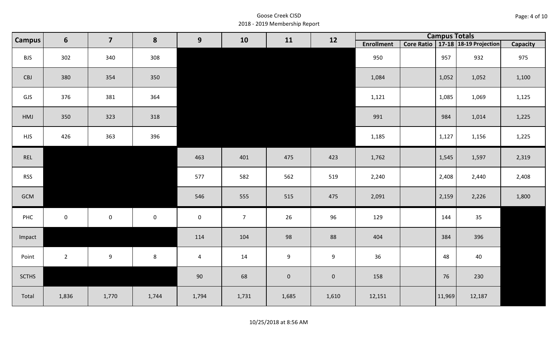| Page: 4 of 10 |  |  |  |
|---------------|--|--|--|
|---------------|--|--|--|

| Campus       | 6                   | $\overline{\mathbf{7}}$ | 8                   | 9<br>10<br>11  | 12             |                  | <b>Campus Totals</b> |                   |        |                                       |                 |
|--------------|---------------------|-------------------------|---------------------|----------------|----------------|------------------|----------------------|-------------------|--------|---------------------------------------|-----------------|
|              |                     |                         |                     |                |                |                  |                      | <b>Enrollment</b> |        | Core Ratio   17-18   18-19 Projection | <b>Capacity</b> |
| <b>BJS</b>   | 302                 | 340                     | 308                 |                |                |                  |                      | 950               | 957    | 932                                   | 975             |
| CBJ          | 380                 | 354                     | 350                 |                |                |                  |                      | 1,084             | 1,052  | 1,052                                 | 1,100           |
| GJS          | 376                 | 381                     | 364                 |                |                |                  |                      | 1,121             | 1,085  | 1,069                                 | 1,125           |
| HMJ          | 350                 | 323                     | 318                 |                |                |                  |                      | 991               | 984    | 1,014                                 | 1,225           |
| <b>HJS</b>   | 426                 | 363                     | 396                 |                |                |                  |                      | 1,185             | 1,127  | 1,156                                 | 1,225           |
| REL          |                     |                         |                     | 463            | 401            | 475              | 423                  | 1,762             | 1,545  | 1,597                                 | 2,319           |
| <b>RSS</b>   |                     |                         |                     | 577            | 582            | 562              | 519                  | 2,240             | 2,408  | 2,440                                 | 2,408           |
| GCM          |                     |                         |                     | 546            | 555            | 515              | 475                  | 2,091             | 2,159  | 2,226                                 | 1,800           |
| PHC          | $\mathsf{O}\xspace$ | $\mathsf{O}\xspace$     | $\mathsf{O}\xspace$ | $\mathbf 0$    | $\overline{7}$ | 26               | 96                   | 129               | 144    | 35                                    |                 |
| Impact       |                     |                         |                     | 114            | 104            | 98               | 88                   | 404               | 384    | 396                                   |                 |
| Point        | $2^{\circ}$         | 9                       | 8                   | $\overline{4}$ | 14             | $\boldsymbol{9}$ | 9                    | 36                | 48     | 40                                    |                 |
| <b>SCTHS</b> |                     |                         |                     | 90             | 68             | $\mathbf 0$      | $\mathbf 0$          | 158               | 76     | 230                                   |                 |
| Total        | 1,836               | 1,770                   | 1,744               | 1,794          | 1,731          | 1,685            | 1,610                | 12,151            | 11,969 | 12,187                                |                 |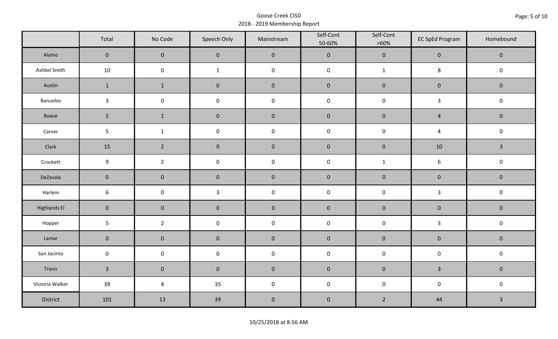|                     | Total           | No Code             | Speech Only         | Mainstream  | Self-Cont<br>50-60% | Self-Cont<br>$>60\%$ | <b>EC SpEd Program</b> | Homebound      |
|---------------------|-----------------|---------------------|---------------------|-------------|---------------------|----------------------|------------------------|----------------|
| Alamo               | $\overline{0}$  | $\mathbf 0$         | $\mathbf{0}$        | $\pmb{0}$   | $\pmb{0}$           | $\pmb{0}$            | $\mathbf 0$            | $\mathbf 0$    |
| Ashbel Smith        | 10              | $\mathsf 0$         | $\mathbf{1}$        | $\pmb{0}$   | $\pmb{0}$           | $\mathbf{1}$         | $\bf 8$                | $\mathbf 0$    |
| Austin              | $\mathbf{1}$    | $\mathbf 1$         | $\mathbf 0$         | $\pmb{0}$   | $\pmb{0}$           | $\pmb{0}$            | $\pmb{0}$              | $\mathbf 0$    |
| Banuelos            | $\mathbf{3}$    | $\mathsf{O}\xspace$ | $\pmb{0}$           | $\pmb{0}$   | $\pmb{0}$           | $\pmb{0}$            | $\mathbf{3}$           | $\pmb{0}$      |
| Bowie               | 5 <sup>1</sup>  | $\mathbf{1}$        | $\mathbf{0}$        | $\mathbf 0$ | $\mathbf 0$         | $\mathbf 0$          | $\overline{4}$         | $\mathbf 0$    |
| Carver              | $5\phantom{.0}$ | $\mathbf{1}$        | $\pmb{0}$           | $\pmb{0}$   | $\pmb{0}$           | $\pmb{0}$            | $\overline{4}$         | $\pmb{0}$      |
| Clark               | 15              | $\overline{2}$      | $\mathbf 0$         | $\pmb{0}$   | $\pmb{0}$           | $\pmb{0}$            | 10                     | $\overline{3}$ |
| Crockett            | 9               | $\overline{2}$      | $\pmb{0}$           | $\pmb{0}$   | $\mathsf 0$         | $\mathbf{1}$         | 6                      | $\pmb{0}$      |
| DeZavala            | $\mathbf 0$     | $\mathbf 0$         | $\mathbf 0$         | $\pmb{0}$   | $\pmb{0}$           | $\pmb{0}$            | $\pmb{0}$              | $\pmb{0}$      |
| Harlem              | $\sqrt{6}$      | $\pmb{0}$           | $\mathbf{3}$        | $\pmb{0}$   | $\pmb{0}$           | $\pmb{0}$            | $\mathbf{3}$           | $\pmb{0}$      |
| <b>Highlands El</b> | $\mathbf 0$     | $\mathbf 0$         | $\mathbf 0$         | $\pmb{0}$   | $\pmb{0}$           | $\pmb{0}$            | $\pmb{0}$              | $\mathbf 0$    |
| Hopper              | $5\phantom{.0}$ | $\overline{2}$      | $\mathsf{O}\xspace$ | $\pmb{0}$   | $\pmb{0}$           | $\pmb{0}$            | $\mathbf{3}$           | $\pmb{0}$      |
| Lamar               | $\mathbf 0$     | $\mathbf 0$         | $\mathbf 0$         | $\pmb{0}$   | $\pmb{0}$           | $\pmb{0}$            | $\pmb{0}$              | $\pmb{0}$      |
| San Jacinto         | $\mathbf 0$     | $\pmb{0}$           | $\pmb{0}$           | $\pmb{0}$   | $\pmb{0}$           | $\pmb{0}$            | $\pmb{0}$              | $\pmb{0}$      |
| Travis              | $\overline{3}$  | $\mathbf 0$         | $\mathbf 0$         | $\pmb{0}$   | $\pmb{0}$           | $\pmb{0}$            | $\overline{3}$         | $\mathbf 0$    |
| Victoria Walker     | 39              | $\sqrt{4}$          | 35                  | $\pmb{0}$   | $\pmb{0}$           | $\pmb{0}$            | $\pmb{0}$              | $\pmb{0}$      |
| District            | 101             | 13                  | 39                  | $\pmb{0}$   | $\pmb{0}$           | $\overline{2}$       | 44                     | $\mathbf{3}$   |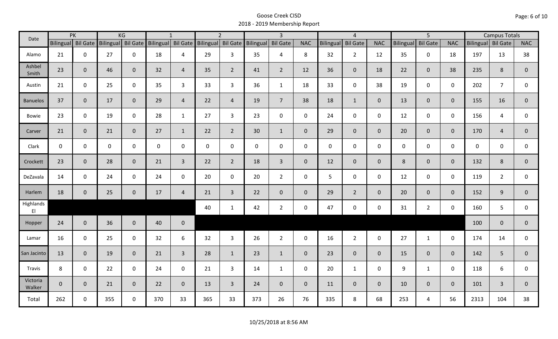| Date               |              | PK                 |                    | KG             |     | $\mathbf{1}$       |             | $\overline{2}$     |                  | $\overline{3}$  |                |             | $\overline{4}$  |                |                  | $\overline{5}$  |                | <b>Campus Totals</b> |                |                |
|--------------------|--------------|--------------------|--------------------|----------------|-----|--------------------|-------------|--------------------|------------------|-----------------|----------------|-------------|-----------------|----------------|------------------|-----------------|----------------|----------------------|----------------|----------------|
|                    |              | Bilingual Bil Gate | Bilingual Bil Gate |                |     | Bilingual Bil Gate |             | Bilingual Bil Gate | <b>Bilingual</b> | <b>Bil Gate</b> | <b>NAC</b>     | Bilingual   | <b>Bil Gate</b> | <b>NAC</b>     | <b>Bilingual</b> | <b>Bil Gate</b> | <b>NAC</b>     | Bilingual Bil Gate   |                | <b>NAC</b>     |
| Alamo              | 21           | $\mathbf 0$        | 27                 | $\mathbf 0$    | 18  | 4                  | 29          | $\mathbf{3}$       | 35               | 4               | 8              | 32          | $2^{\circ}$     | 12             | 35               | $\mathbf 0$     | 18             | 197                  | 13             | 38             |
| Ashbel<br>Smith    | 23           | $\mathbf 0$        | 46                 | $\mathbf{0}$   | 32  | $\overline{4}$     | 35          | $\overline{2}$     | 41               | $\overline{2}$  | 12             | 36          | $\overline{0}$  | 18             | 22               | $\mathbf{0}$    | 38             | 235                  | 8              | $\overline{0}$ |
| Austin             | 21           | $\mathbf 0$        | 25                 | $\mathbf 0$    | 35  | 3                  | 33          | $\mathbf{3}$       | 36               | $\mathbf{1}$    | 18             | 33          | $\mathbf 0$     | 38             | 19               | $\mathbf 0$     | $\mathbf 0$    | 202                  | $\overline{7}$ | 0              |
| <b>Banuelos</b>    | 37           | $\mathbf{0}$       | 17                 | $\overline{0}$ | 29  | $\overline{4}$     | 22          | $\overline{4}$     | 19               | $\overline{7}$  | 38             | 18          | $\mathbf{1}$    | $\overline{0}$ | 13               | $\overline{0}$  | $\mathbf{0}$   | 155                  | 16             | $\mathbf{0}$   |
| Bowie              | 23           | $\mathbf 0$        | 19                 | $\mathsf 0$    | 28  | $\mathbf{1}$       | 27          | $\overline{3}$     | 23               | $\mathbf 0$     | $\mathbf 0$    | 24          | $\mathbf 0$     | $\mathbf 0$    | 12               | $\mathbf 0$     | $\mathbf 0$    | 156                  | 4              | 0              |
| Carver             | 21           | $\mathbf 0$        | 21                 | $\overline{0}$ | 27  | $\mathbf{1}$       | 22          | $2^{\circ}$        | 30               | $\mathbf{1}$    | $\overline{0}$ | 29          | $\overline{0}$  | $\overline{0}$ | 20               | $\overline{0}$  | $\mathbf{0}$   | 170                  | $\overline{4}$ | $\mathbf{0}$   |
| Clark              | $\mathbf 0$  | $\mathbf 0$        | $\mathsf{O}$       | $\mathbf 0$    | 0   | $\mathbf{0}$       | $\mathbf 0$ | $\mathbf 0$        | $\mathbf 0$      | $\mathbf 0$     | $\mathbf 0$    | $\mathbf 0$ | $\mathbf 0$     | $\mathbf 0$    | $\mathbf 0$      | $\mathbf{0}$    | $\mathbf 0$    | 0                    | $\mathbf 0$    | 0              |
| Crockett           | 23           | $\mathbf{0}$       | 28                 | $\mathbf 0$    | 21  | $\overline{3}$     | 22          | $2^{\circ}$        | 18               | $\mathbf{3}$    | $\mathbf{0}$   | 12          | $\overline{0}$  | $\mathbf{0}$   | 8                | $\overline{0}$  | $\mathbf{0}$   | 132                  | 8              | $\mathbf 0$    |
| DeZavala           | 14           | $\mathbf 0$        | 24                 | $\mathbf 0$    | 24  | $\mathbf{0}$       | 20          | $\mathbf 0$        | 20               | $2^{\circ}$     | 0              | 5           | $\mathbf 0$     | $\mathbf 0$    | 12               | $\Omega$        | $\mathbf 0$    | 119                  | $\overline{2}$ | 0              |
| Harlem             | 18           | $\mathbf 0$        | 25                 | $\mathbf 0$    | 17  | $\overline{4}$     | 21          | $\overline{3}$     | 22               | $\mathbf 0$     | $\mathbf 0$    | 29          | $2^{\circ}$     | $\mathbf{0}$   | 20               | $\mathbf{0}$    | $\mathbf{0}$   | 152                  | 9              | $\overline{0}$ |
| Highlands<br>EI    |              |                    |                    |                |     |                    | 40          | $\mathbf{1}$       | 42               | $\overline{2}$  | $\mathbf 0$    | 47          | $\mathbf 0$     | $\mathbf 0$    | 31               | $2^{\circ}$     | $\mathbf 0$    | 160                  | 5              | $\mathbf 0$    |
| Hopper             | 24           | $\mathbf{0}$       | 36                 | $\overline{0}$ | 40  | $\mathbf 0$        |             |                    |                  |                 |                |             |                 |                |                  |                 |                | 100                  | $\mathbf{0}$   | $\mathbf 0$    |
| Lamar              | 16           | $\mathbf 0$        | 25                 | $\mathbf 0$    | 32  | 6                  | 32          | $\overline{3}$     | 26               | $2^{\circ}$     | $\mathbf 0$    | 16          | $\overline{2}$  | $\mathbf{0}$   | 27               | $\mathbf{1}$    | $\mathbf 0$    | 174                  | 14             | $\mathbf 0$    |
| San Jacinto        | 13           | $\mathbf 0$        | 19                 | $\mathbf{0}$   | 21  | $\overline{3}$     | 28          | $\mathbf{1}$       | 23               | $\mathbf{1}$    | $\overline{0}$ | 23          | $\overline{0}$  | $\overline{0}$ | 15               | $\overline{0}$  | $\mathbf{0}$   | 142                  | 5              | $\overline{0}$ |
| Travis             | 8            | $\mathbf 0$        | 22                 | $\mathbf 0$    | 24  | 0                  | 21          | $\mathbf{3}$       | 14               | $\mathbf{1}$    | $\mathsf 0$    | 20          | $\mathbf{1}$    | $\mathbf 0$    | 9                | $\mathbf{1}$    | $\mathbf 0$    | 118                  | 6              | 0              |
| Victoria<br>Walker | $\mathbf{0}$ | $\mathbf 0$        | 21                 | $\mathbf{0}$   | 22  | $\mathbf{0}$       | 13          | $\overline{3}$     | 24               | $\mathbf 0$     | $\overline{0}$ | 11          | $\overline{0}$  | $\overline{0}$ | 10               | $\overline{0}$  | $\overline{0}$ | 101                  | 3              | $\mathbf{0}$   |
| Total              | 262          | 0                  | 355                | $\mathbf 0$    | 370 | 33                 | 365         | 33                 | 373              | 26              | 76             | 335         | 8               | 68             | 253              | 4               | 56             | 2313                 | 104            | 38             |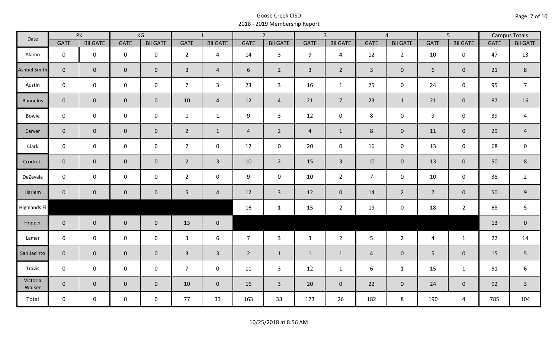| Date               |                | PK              |                     | KG              |                         | $\overline{1}$  |                | $\overline{2}$  |                | $\overline{3}$  |                | $\overline{4}$  |                  | $\overline{5}$  |             | <b>Campus Totals</b> |
|--------------------|----------------|-----------------|---------------------|-----------------|-------------------------|-----------------|----------------|-----------------|----------------|-----------------|----------------|-----------------|------------------|-----------------|-------------|----------------------|
|                    | <b>GATE</b>    | <b>Bil GATE</b> | <b>GATE</b>         | <b>Bil GATE</b> | <b>GATE</b>             | <b>Bil GATE</b> | <b>GATE</b>    | <b>Bil GATE</b> | <b>GATE</b>    | <b>Bil GATE</b> | <b>GATE</b>    | <b>Bil GATE</b> | <b>GATE</b>      | <b>Bil GATE</b> | <b>GATE</b> | <b>Bil GATE</b>      |
| Alamo              | $\mathbf{0}$   | $\mathbf 0$     | $\mathbf 0$         | $\mathbf 0$     | $2^{\circ}$             | $\overline{4}$  | 14             | $\overline{3}$  | 9              | $\overline{4}$  | 12             | $\overline{2}$  | 10               | $\mathbf 0$     | 47          | 13                   |
| Ashbel Smith       | $\mathbf{0}$   | $\overline{0}$  | $\mathbf 0$         | $\mathbf{0}$    | $\overline{3}$          | $\overline{4}$  | 6              | $\overline{2}$  | $\mathbf{3}$   | $\overline{2}$  | $\overline{3}$ | $\mathbf 0$     | 6                | $\mathbf{0}$    | 21          | $\,8\,$              |
| Austin             | $\mathbf 0$    | $\mathbf 0$     | $\mathbf 0$         | $\mathbf 0$     | $\overline{7}$          | $\mathbf{3}$    | 23             | $\mathbf{3}$    | 16             | $\mathbf{1}$    | 25             | 0               | 24               | $\mathbf 0$     | 95          | $\overline{7}$       |
| <b>Banuelos</b>    | $\overline{0}$ | $\mathbf 0$     | $\mathsf{O}\xspace$ | $\mathbf{0}$    | 10                      | $\overline{4}$  | 12             | $\overline{4}$  | 21             | $\overline{7}$  | 23             | $\mathbf{1}$    | 21               | $\overline{0}$  | 87          | 16                   |
| Bowie              | $\mathbf 0$    | $\mathbf 0$     | $\mathsf{O}\xspace$ | $\mathbf 0$     | $\mathbf{1}$            | $\mathbf{1}$    | 9              | $\overline{3}$  | 12             | $\mathbf 0$     | $\,8\,$        | 0               | $\boldsymbol{9}$ | $\mathbf 0$     | 39          | $\overline{a}$       |
| Carver             | $\overline{0}$ | $\mathbf 0$     | $\mathsf{O}\xspace$ | $\overline{0}$  | $\overline{2}$          | $\mathbf{1}$    | $\overline{4}$ | $\overline{2}$  | $\overline{4}$ | $\mathbf{1}$    | 8              | $\mathbf 0$     | 11               | $\mathbf{0}$    | 29          | $\overline{4}$       |
| Clark              | $\mathbf 0$    | $\mathbf 0$     | $\pmb{0}$           | 0               | $\overline{7}$          | $\mathbf 0$     | 12             | $\mathbf 0$     | 20             | $\mathbf 0$     | 16             | $\mathbf 0$     | 13               | $\mathbf 0$     | 68          | $\mathbf 0$          |
| Crockett           | $\overline{0}$ | $\mathbf{0}$    | $\mathbf 0$         | $\mathbf{0}$    | $2^{\circ}$             | $\overline{3}$  | 10             | $\overline{2}$  | 15             | $\mathbf{3}$    | 10             | $\overline{0}$  | 13               | $\mathbf 0$     | 50          | $\,8\,$              |
| DeZavala           | $\mathbf 0$    | $\mathbf 0$     | $\mathbf 0$         | $\mathbf 0$     | $2^{\circ}$             | $\mathbf 0$     | 9              | $\mathbf 0$     | 10             | $\overline{2}$  | $\overline{7}$ | $\mathbf 0$     | 10               | $\mathbf 0$     | 38          | $\overline{2}$       |
| Harlem             | $\overline{0}$ | $\overline{0}$  | $\mathbf 0$         | $\mathbf{0}$    | $5\phantom{.0}$         | $\overline{4}$  | 12             | $\overline{3}$  | 12             | $\overline{0}$  | 14             | $2^{\circ}$     | $\overline{7}$   | $\mathbf{0}$    | 50          | $\overline{9}$       |
| Highlands El       |                |                 |                     |                 |                         |                 | 16             | $\mathbf{1}$    | 15             | $\overline{2}$  | 19             | 0               | 18               | $\overline{2}$  | 68          | 5                    |
| Hopper             | $\overline{0}$ | $\overline{0}$  | $\mathbf 0$         | $\overline{0}$  | 13                      | $\mathbf 0$     |                |                 |                |                 |                |                 |                  |                 | 13          | $\pmb{0}$            |
| Lamar              | $\mathbf 0$    | $\mathbf 0$     | $\mathbf 0$         | $\mathbf 0$     | 3                       | 6               | $\overline{7}$ | $\mathbf{3}$    | $\mathbf{3}$   | $\overline{2}$  | 5              | $\overline{2}$  | $\overline{4}$   | $\mathbf{1}$    | 22          | 14                   |
| San Jacinto        | $\mathbf 0$    | $\overline{0}$  | $\mathbf 0$         | $\mathbf 0$     | $\overline{\mathbf{3}}$ | $\overline{3}$  | $\overline{2}$ | $\mathbf{1}$    | $\mathbf{1}$   | $\mathbf{1}$    | $\overline{4}$ | $\mathbf{0}$    | 5                | $\mathbf 0$     | 15          | 5                    |
| Travis             | $\mathbf 0$    | $\mathbf 0$     | $\mathsf{O}\xspace$ | $\mathbf 0$     | 7 <sup>7</sup>          | $\mathbf 0$     | 11             | $\mathbf{3}$    | 12             | $\mathbf{1}$    | 6              | $\mathbf{1}$    | 15               | $\mathbf{1}$    | 51          | 6                    |
| Victoria<br>Walker | $\overline{0}$ | $\mathbf 0$     | $\mathbf 0$         | $\overline{0}$  | 10                      | $\overline{0}$  | 16             | $\overline{3}$  | 20             | $\overline{0}$  | 22             | $\mathbf 0$     | 24               | $\overline{0}$  | 92          | $\overline{3}$       |
| Total              | $\mathbf 0$    | $\mathbf 0$     | $\mathsf{O}$        | $\mathbf 0$     | 77                      | 33              | 163            | 33              | 173            | 26              | 182            | 8               | 190              | 4               | 785         | 104                  |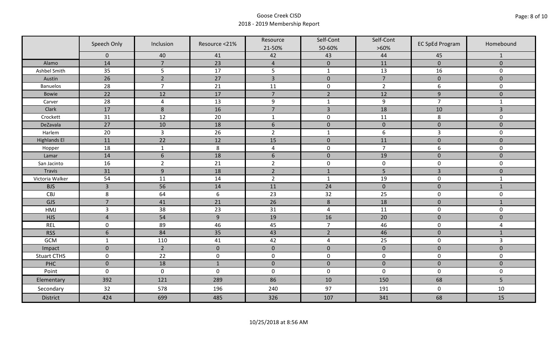|                     | Speech Only     | Inclusion       | Resource <21%  | Resource<br>21-50% | Self-Cont<br>50-60% | Self-Cont<br>$>60\%$ | <b>EC SpEd Program</b> | Homebound      |
|---------------------|-----------------|-----------------|----------------|--------------------|---------------------|----------------------|------------------------|----------------|
|                     | $\mathbf 0$     | 40              | 41             | 42                 | 43                  | 44                   | 45                     | $\mathbf{1}$   |
| Alamo               | 14              | $\overline{7}$  | 23             | $\overline{4}$     | $\pmb{0}$           | 11                   | $\pmb{0}$              | $\mathbf 0$    |
| Ashbel Smith        | 35              | 5               | 17             | 5                  | $\mathbf{1}$        | 13                   | 16                     | 0              |
| Austin              | $\overline{26}$ | $\overline{2}$  | 27             | $\overline{3}$     | $\pmb{0}$           | $\overline{7}$       | $\pmb{0}$              | $\overline{0}$ |
| <b>Banuelos</b>     | 28              | $\overline{7}$  | 21             | 11                 | $\pmb{0}$           | $\overline{2}$       | 6                      | $\mathbf 0$    |
| <b>Bowie</b>        | 22              | 12              | 17             | $\overline{7}$     | $\overline{2}$      | 12                   | $\boldsymbol{9}$       | $\pmb{0}$      |
| Carver              | 28              | $\overline{4}$  | 13             | $\boldsymbol{9}$   | $\mathbf{1}$        | $\boldsymbol{9}$     | $\overline{7}$         | $\mathbf{1}$   |
| Clark               | 17              | 8               | 16             | $\overline{7}$     | $\overline{3}$      | 18                   | 10                     | 3              |
| Crockett            | 31              | 12              | 20             | $\mathbf{1}$       | $\pmb{0}$           | 11                   | 8                      | 0              |
| DeZavala            | 27              | 10              | 18             | $6\,$              | $\pmb{0}$           | $\pmb{0}$            | $\pmb{0}$              | $\overline{0}$ |
| Harlem              | 20              | $\overline{3}$  | 26             | $\overline{2}$     | $\mathbf 1$         | 6                    | $\overline{3}$         | 0              |
| <b>Highlands El</b> | 11              | $\overline{22}$ | 12             | 15                 | $\pmb{0}$           | 11                   | $\pmb{0}$              | $\overline{0}$ |
| Hopper              | 18              | $\mathbf 1$     | $\,8\,$        | $\pmb{4}$          | $\pmb{0}$           | $\overline{7}$       | 6                      | 0              |
| Lamar               | 14              | $6\phantom{1}6$ | 18             | $6\,$              | $\pmb{0}$           | 19                   | $\pmb{0}$              | $\mathbf 0$    |
| San Jacinto         | 16              | $\overline{2}$  | 21             | $\overline{2}$     | $\pmb{0}$           | $\pmb{0}$            | $\pmb{0}$              | 0              |
| Travis              | 31              | 9               | 18             | $\overline{2}$     | $1\,$               | 5                    | $\overline{3}$         | $\mathbf 0$    |
| Victoria Walker     | 54              | 11              | 14             | $\overline{2}$     | $\mathbf 1$         | 19                   | $\pmb{0}$              | $\mathbf{1}$   |
| <b>BJS</b>          | $\overline{3}$  | 56              | 14             | 11                 | 24                  | $\pmb{0}$            | $\pmb{0}$              | $\mathbf{1}$   |
| CBJ                 | $\,8\,$         | 64              | $6\,$          | 23                 | 32                  | 25                   | $\pmb{0}$              | 0              |
| GJS                 | $\overline{7}$  | 41              | 21             | 26                 | $\,8\,$             | 18                   | $\mathbf 0$            | $\mathbf{1}$   |
| HMJ                 | $\overline{3}$  | 38              | 23             | 31                 | $\overline{4}$      | 11                   | $\pmb{0}$              | 0              |
| <b>HJS</b>          | $\overline{4}$  | 54              | $\overline{9}$ | 19                 | 16                  | 20                   | $\pmb{0}$              | $\mathbf 0$    |
| <b>REL</b>          | $\mathbf 0$     | 89              | 46             | 45                 | $\overline{7}$      | 46                   | $\pmb{0}$              | 4              |
| <b>RSS</b>          | $6\phantom{1}6$ | 84              | 35             | 43                 | $\overline{2}$      | 46                   | $\pmb{0}$              | $\mathbf{1}$   |
| GCM                 | $\mathbf{1}$    | 110             | 41             | 42                 | 4                   | 25                   | $\pmb{0}$              | $\overline{3}$ |
| Impact              | $\mathbf 0$     | $\overline{2}$  | $\mathbf{0}$   | $\mathbf 0$        | $\pmb{0}$           | $\mathbf 0$          | $\mathbf 0$            | $\overline{0}$ |
| <b>Stuart CTHS</b>  | $\mathsf 0$     | 22              | $\pmb{0}$      | $\pmb{0}$          | $\pmb{0}$           | $\pmb{0}$            | $\pmb{0}$              | 0              |
| PHC                 | $\mathbf 0$     | 18              | $1\,$          | $\pmb{0}$          | $\pmb{0}$           | $\pmb{0}$            | $\pmb{0}$              | $\pmb{0}$      |
| Point               | $\mathbf 0$     | $\mathbf 0$     | $\mathbf 0$    | $\boldsymbol{0}$   | $\pmb{0}$           | $\mathbf 0$          | $\mathbf 0$            | 0              |
| Elementary          | 392             | 121             | 289            | 86                 | 10                  | 150                  | 68                     | 5              |
| Secondary           | 32              | 578             | 196            | 240                | 97                  | 191                  | $\mathbf 0$            | 10             |
| <b>District</b>     | 424             | 699             | 485            | 326                | 107                 | 341                  | 68                     | 15             |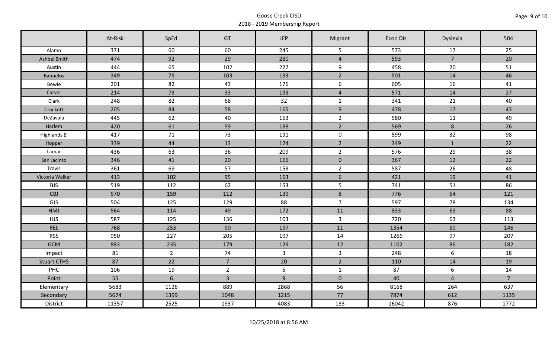|                     | At-Risk | SpEd           | GT             | <b>LEP</b>     | Migrant          | Econ Dis | Dyslexia        | 504            |
|---------------------|---------|----------------|----------------|----------------|------------------|----------|-----------------|----------------|
| Alamo               | 371     | 60             | 60             | 245            | 5                | 573      | 17              | 25             |
| Ashbel Smith        | 474     | 92             | 29             | 280            | $\overline{4}$   | 593      | $\overline{7}$  | 20             |
| Austin              | 444     | 65             | 102            | 227            | 9                | 458      | 20              | 51             |
| <b>Banuelos</b>     | 349     | 75             | 103            | 193            | $\overline{2}$   | 501      | 14              | 46             |
| Bowie               | 201     | 82             | 43             | 176            | $\boldsymbol{6}$ | 605      | 16              | 41             |
| Carver              | 214     | 73             | 33             | 198            | $\overline{4}$   | 571      | 14              | 27             |
| Clark               | 248     | 82             | 68             | 32             | $\mathbf{1}$     | 341      | 21              | 40             |
| Crockett            | 205     | 84             | 58             | 165            | 9                | 478      | 17              | 43             |
| DeZavala            | 445     | 62             | 40             | 153            | $\overline{2}$   | 580      | 11              | 49             |
| Harlem              | 420     | 61             | 59             | 188            | $\overline{2}$   | 569      | $8\phantom{1}$  | 26             |
| <b>Highlands El</b> | 417     | 71             | 73             | 191            | $\mathbf 0$      | 599      | 32              | 98             |
| Hopper              | 339     | 44             | 13             | 124            | $\overline{2}$   | 349      | $\mathbf{1}$    | 22             |
| Lamar               | 436     | 63             | 36             | 209            | $\overline{2}$   | 576      | 29              | 38             |
| San Jacinto         | 346     | 41             | 20             | 166            | $\mathbf 0$      | 367      | 12              | 22             |
| Travis              | 361     | 69             | 57             | 158            | $\overline{2}$   | 587      | 26              | 48             |
| Victoria Walker     | 413     | 102            | 95             | 163            | $6\overline{6}$  | 421      | 19              | 41             |
| <b>BJS</b>          | 519     | 112            | 62             | 153            | $5\phantom{.}$   | 741      | 51              | 86             |
| CBJ                 | 570     | 159            | 112            | 139            | 8                | 776      | 64              | 121            |
| GJS                 | 504     | 125            | 129            | 88             | $\overline{7}$   | 597      | 78              | 134            |
| HMJ                 | 564     | 114            | 49             | 172            | 11               | 833      | 63              | 88             |
| <b>HJS</b>          | 587     | 125            | 136            | 103            | $\overline{3}$   | 720      | 63              | 113            |
| <b>REL</b>          | 768     | 253            | 90             | 197            | 11               | 1354     | 80              | 146            |
| <b>RSS</b>          | 950     | 227            | 205            | 197            | 14               | 1266     | 97              | 207            |
| <b>GCM</b>          | 883     | 235            | 179            | 129            | 12               | 1102     | 86              | 182            |
| Impact              | 81      | $2^{\circ}$    | 74             | $\overline{3}$ | $\overline{3}$   | 248      | 6               | 18             |
| <b>Stuart CTHS</b>  | 87      | 22             | $\overline{7}$ | 20             | $\overline{2}$   | 110      | 14              | 19             |
| PHC                 | 106     | 19             | $2^{\circ}$    | $5\phantom{.}$ | $\mathbf{1}$     | 87       | $6\phantom{.}6$ | 14             |
| Point               | 55      | $6\phantom{a}$ | $\overline{3}$ | $\overline{9}$ | $\mathbf{0}$     | 40       | $\overline{4}$  | $\overline{7}$ |
| Elementary          | 5683    | 1126           | 889            | 2868           | 56               | 8168     | 264             | 637            |
| Secondary           | 5674    | 1399           | 1048           | 1215           | 77               | 7874     | 612             | 1135           |
| District            | 11357   | 2525           | 1937           | 4083           | 133              | 16042    | 876             | 1772           |